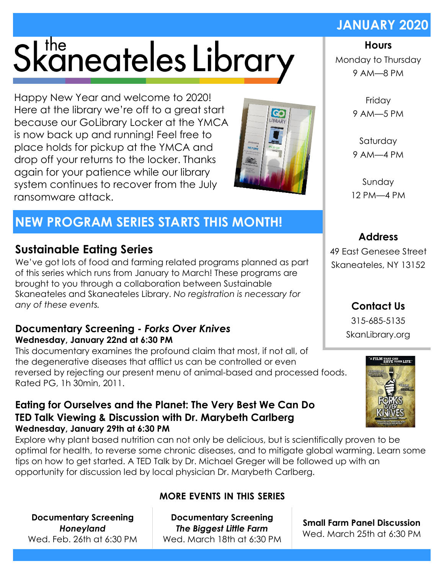# Skaneateles Library

Happy New Year and welcome to 2020! Here at the library we're off to a great start because our GoLibrary Locker at the YMCA is now back up and running! Feel free to place holds for pickup at the YMCA and drop off your returns to the locker. Thanks again for your patience while our library system continues to recover from the July ransomware attack.

# **NEW PROGRAM SERIES STARTS THIS MONTH!**

# **Sustainable Eating Series**

We've got lots of food and farming related programs planned as part of this series which runs from January to March! These programs are brought to you through a collaboration between Sustainable Skaneateles and Skaneateles Library. *No registration is necessary for any of these events.*

#### **Documentary Screening -** *Forks Over Knives* **Wednesday, January 22nd at 6:30 PM**

This documentary examines the profound claim that most, if not all, of the degenerative diseases that afflict us can be controlled or even reversed by rejecting our present menu of animal-based and processed foods. Rated PG, 1h 30min, 2011.

#### **Eating for Ourselves and the Planet: The Very Best We Can Do TED Talk Viewing & Discussion with Dr. Marybeth Carlberg Wednesday, January 29th at 6:30 PM**

Explore why plant based nutrition can not only be delicious, but is scientifically proven to be optimal for health, to reverse some chronic diseases, and to mitigate global warming. Learn some tips on how to get started. A TED Talk by Dr. Michael Greger will be followed up with an opportunity for discussion led by local physician Dr. Marybeth Carlberg.

**Documentary Screening**  *Honeyland* Wed. Feb. 26th at 6:30 PM

# **MORE EVENTS IN THIS SERIES**

**Documentary Screening**  *The Biggest Little Farm* Wed. March 18th at 6:30 PM

#### **Hours**

**JANUARY 2020**

Monday to Thursday 9 AM—8 PM

> Friday 9 AM—5 PM

Saturday 9 AM—4 PM

Sunday 12 PM—4 PM

49 East Genesee Street Skaneateles, NY 13152

> **Contact Us** 315-685-5135 SkanLibrary.org







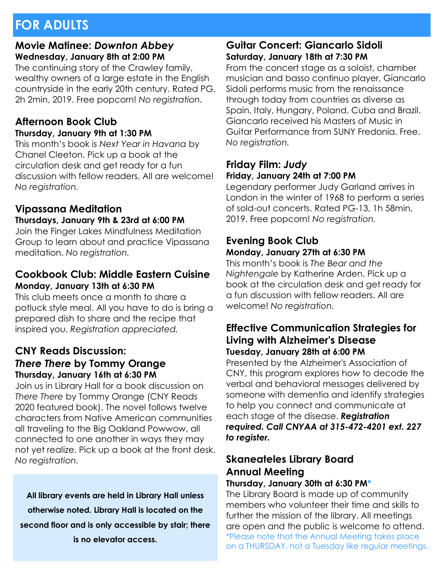# **FOR ADULTS**

#### **Movie Matinee:** *Downton Abbey* **Wednesday, January 8th at 2:00 PM**

The continuing story of the Crawley family, wealthy owners of a large estate in the English countryside in the early 20th century. Rated PG, 2h 2min, 2019. Free popcorn! *No registration.*

#### **Afternoon Book Club Thursday, January 9th at 1:30 PM**

This month's book is *Next Year in Havana* by Chanel Cleeton. Pick up a book at the circulation desk and get ready for a fun discussion with fellow readers. All are welcome! *No registration.*

# **Vipassana Meditation**

#### **Thursdays, January 9th & 23rd at 6:00 PM**

Join the Finger Lakes Mindfulness Meditation Group to learn about and practice Vipassana meditation. *No registration.*

#### **Cookbook Club: Middle Eastern Cuisine Monday, January 13th at 6:30 PM**

This club meets once a month to share a potluck style meal. All you have to do is bring a prepared dish to share and the recipe that inspired you. *Registration appreciated.*

#### **CNY Reads Discussion:**  *There There* **by Tommy Orange Thursday, January 16th at 6:30 PM**

Join us in Library Hall for a book discussion on *There There* by Tommy Orange (CNY Reads 2020 featured book). The novel follows twelve characters from Native American communities all traveling to the Big Oakland Powwow, all connected to one another in ways they may not yet realize. Pick up a book at the front desk. *No registration.*

**All library events are held in Library Hall unless otherwise noted. Library Hall is located on the second floor and is only accessible by stair; there is no elevator access.**

#### **Guitar Concert: Giancarlo Sidoli Saturday, January 18th at 7:30 PM**

From the concert stage as a soloist, chamber musician and basso continuo player, Giancarlo Sidoli performs music from the renaissance through today from countries as diverse as Spain, Italy, Hungary, Poland, Cuba and Brazil. Giancarlo received his Masters of Music in Guitar Performance from SUNY Fredonia. Free. *No registration.*

#### **Friday Film:** *Judy* **Friday, January 24th at 7:00 PM**

Legendary performer Judy Garland arrives in London in the winter of 1968 to perform a series of sold-out concerts. Rated PG-13, 1h 58min, 2019. Free popcorn! *No registration.*

#### **Evening Book Club Monday, January 27th at 6:30 PM**

This month's book is *The Bear and the Nightengale* by Katherine Arden. Pick up a book at the circulation desk and get ready for a fun discussion with fellow readers. All are welcome! *No registration.*

#### **Effective Communication Strategies for Living with Alzheimer's Disease Tuesday, January 28th at 6:00 PM**

Presented by the Alzheimer's Association of CNY, this program explores how to decode the verbal and behavioral messages delivered by someone with dementia and identify strategies to help you connect and communicate at each stage of the disease. *Registration required. Call CNYAA at 315-472-4201 ext. 227 to register.*

# **Skaneateles Library Board Annual Meeting**

## **Thursday, January 30th at 6:30 PM\***

The Library Board is made up of community members who volunteer their time and skills to further the mission of the library. All meetings are open and the public is welcome to attend. \*Please note that the Annual Meeting takes place on a THURSDAY, not a Tuesday like regular meetings.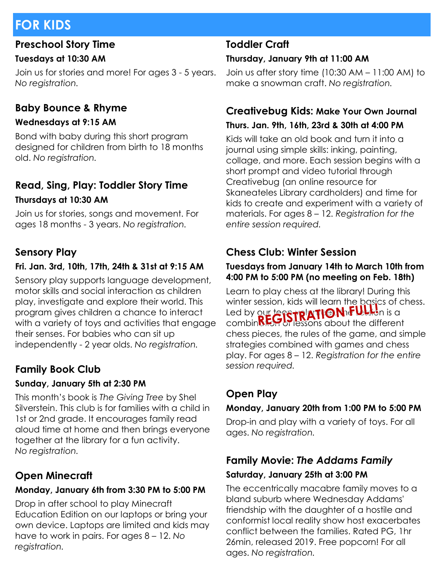# **FOR KIDS**

# **Preschool Story Time**

## **Tuesdays at 10:30 AM**

Join us for stories and more! For ages 3 - 5 years. *No registration.*

# **Baby Bounce & Rhyme**

## **Wednesdays at 9:15 AM**

Bond with baby during this short program designed for children from birth to 18 months old. *No registration.*

# **Read, Sing, Play: Toddler Story Time Thursdays at 10:30 AM**

Join us for stories, songs and movement. For ages 18 months - 3 years. *No registration.*

# **Sensory Play**

# **Fri. Jan. 3rd, 10th, 17th, 24th & 31st at 9:15 AM**

Sensory play supports language development, motor skills and social interaction as children play, investigate and explore their world. This program gives children a chance to interact with a variety of toys and activities that engage their senses. For babies who can sit up independently - 2 year olds. *No registration.*

# **Family Book Club**

# **Sunday, January 5th at 2:30 PM**

This month's book is *The Giving Tree* by Shel Silverstein. This club is for families with a child in 1st or 2nd grade. It encourages family read aloud time at home and then brings everyone together at the library for a fun activity. *No registration.*

# **Open Minecraft**

# **Monday, January 6th from 3:30 PM to 5:00 PM**

Drop in after school to play Minecraft Education Edition on our laptops or bring your own device. Laptops are limited and kids may have to work in pairs. For ages 8 – 12. *No registration.*

# **Toddler Craft**

# **Thursday, January 9th at 11:00 AM**

Join us after story time (10:30 AM – 11:00 AM) to make a snowman craft. *No registration.*

# **Creativebug Kids: Make Your Own Journal**

#### **Thurs. Jan. 9th, 16th, 23rd & 30th at 4:00 PM**

Kids will take an old book and turn it into a journal using simple skills: inking, painting, collage, and more. Each session begins with a short prompt and video tutorial through Creativebug (an online resource for Skaneateles Library cardholders) and time for kids to create and experiment with a variety of materials. For ages 8 – 12. *Registration for the entire session required.*

# **Chess Club: Winter Session**

#### **Tuesdays from January 14th to March 10th from 4:00 PM to 5:00 PM (no meeting on Feb. 18th)**

Learn to play chess at the library! During this winter session, kids will learn the basics of chess. Led by our **tege rolation in the west** is a combination of lessons about the different chess pieces, the rules of the game, and simple strategies combined with games and chess play. For ages 8 – 12. *Registration for the entire session required.*

# **Open Play**

# **Monday, January 20th from 1:00 PM to 5:00 PM**

Drop-in and play with a variety of toys. For all ages. *No registration.*

# **Family Movie:** *The Addams Family* **Saturday, January 25th at 3:00 PM**

The eccentrically macabre family moves to a bland suburb where Wednesday Addams' friendship with the daughter of a hostile and conformist local reality show host exacerbates conflict between the families. Rated PG, 1hr 26min, released 2019. Free popcorn! For all ages. *No registration.*